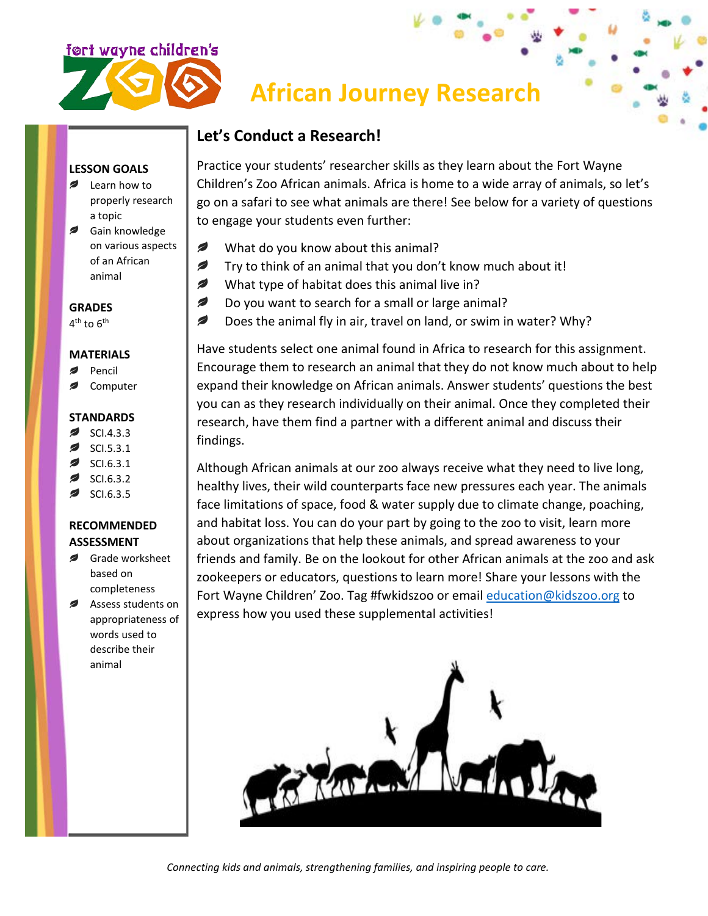

# **African Journey Research**

## **Let's Conduct a Research!**

**LESSON GOALS**

- **Example 1** Learn how to properly research a topic
- Sain knowledge on various aspects of an African animal

**GRADES**

4<sup>th</sup> to 6<sup>th</sup>

#### **MATERIALS**

- Pencil
- Computer

#### **STANDARDS**

- SCI.4.3.3  $\overline{\phantom{a}}$
- SCI.5.3.1
- SCI.6.3.1
- SCI.6.3.2
- SCI.6.3.5

### **RECOMMENDED ASSESSMENT**

- *,* Grade worksheet based on completeness
- Assess students on appropriateness of words used to describe their animal

Practice your students' researcher skills as they learn about the Fort Wayne Children's Zoo African animals. Africa is home to a wide array of animals, so let's go on a safari to see what animals are there! See below for a variety of questions to engage your students even further:

- Ø What do you know about this animal?
- Ø Try to think of an animal that you don't know much about it!
- $\overline{\mathscr{L}}$ What type of habitat does this animal live in?
- $\overline{\phantom{a}}$ Do you want to search for a small or large animal?
- Ø Does the animal fly in air, travel on land, or swim in water? Why?

Have students select one animal found in Africa to research for this assignment. Encourage them to research an animal that they do not know much about to help expand their knowledge on African animals. Answer students' questions the best you can as they research individually on their animal. Once they completed their research, have them find a partner with a different animal and discuss their findings.

Although African animals at our zoo always receive what they need to live long, healthy lives, their wild counterparts face new pressures each year. The animals face limitations of space, food & water supply due to climate change, poaching, and habitat loss. You can do your part by going to the zoo to visit, learn more about organizations that help these animals, and spread awareness to your friends and family. Be on the lookout for other African animals at the zoo and ask zookeepers or educators, questions to learn more! Share your lessons with the Fort Wayne Children' Zoo. Tag #fwkidszoo or email [education@kidszoo.org](mailto:education@kidszoo.org) to express how you used these supplemental activities!



*Connecting kids and animals, strengthening families, and inspiring people to care.*